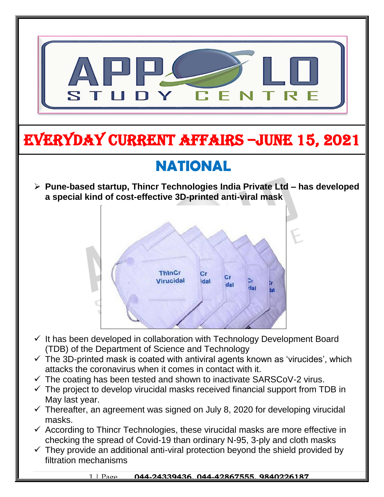

 $\checkmark$  They provide an additional anti-viral protection beyond the shield provided by filtration mechanisms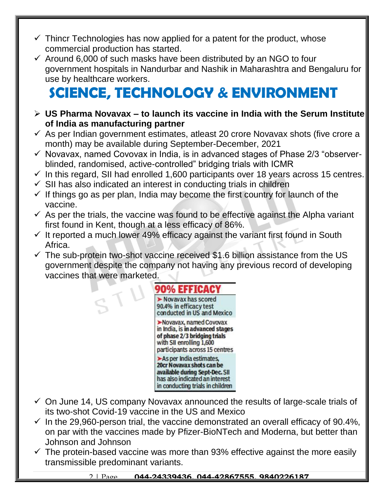- $\checkmark$  Thincr Technologies has now applied for a patent for the product, whose commercial production has started.
- $\checkmark$  Around 6,000 of such masks have been distributed by an NGO to four government hospitals in Nandurbar and Nashik in Maharashtra and Bengaluru for use by healthcare workers.

## **SCIENCE, TECHNOLOGY & ENVIRONMENT**

- **US Pharma Novavax – to launch its vaccine in India with the Serum Institute of India as manufacturing partner**
- $\checkmark$  As per Indian government estimates, atleast 20 crore Novavax shots (five crore a month) may be available during September-December, 2021
- $\checkmark$  Novavax, named Covovax in India, is in advanced stages of Phase 2/3 "observerblinded, randomised, active-controlled" bridging trials with ICMR
- $\checkmark$  In this regard, SII had enrolled 1,600 participants over 18 years across 15 centres.
- $\checkmark$  SII has also indicated an interest in conducting trials in children
- $\checkmark$  If things go as per plan, India may become the first country for launch of the vaccine.
- $\checkmark$  As per the trials, the vaccine was found to be effective against the Alpha variant first found in Kent, though at a less efficacy of 86%.
- $\checkmark$  It reported a much lower 49% efficacy against the variant first found in South Africa.
- $\checkmark$  The sub-protein two-shot vaccine received \$1.6 billion assistance from the US government despite the company not having any previous record of developing vaccines that were marketed.



- $\checkmark$  On June 14, US company Novavax announced the results of large-scale trials of its two-shot Covid-19 vaccine in the US and Mexico
- $\checkmark$  In the 29,960-person trial, the vaccine demonstrated an overall efficacy of 90.4%, on par with the vaccines made by Pfizer-BioNTech and Moderna, but better than Johnson and Johnson
- $\checkmark$  The protein-based vaccine was more than 93% effective against the more easily transmissible predominant variants.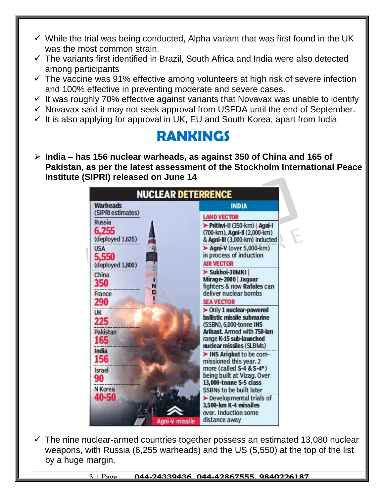- $\checkmark$  While the trial was being conducted, Alpha variant that was first found in the UK was the most common strain.
- $\checkmark$  The variants first identified in Brazil, South Africa and India were also detected among participants
- $\checkmark$  The vaccine was 91% effective among volunteers at high risk of severe infection and 100% effective in preventing moderate and severe cases.
- $\checkmark$  It was roughly 70% effective against variants that Novavax was unable to identify
- $\checkmark$  Novavax said it may not seek approval from USFDA until the end of September.
- $\checkmark$  It is also applying for approval in UK, EU and South Korea, apart from India

## **RANKINGS**

 **India – has 156 nuclear warheads, as against 350 of China and 165 of Pakistan, as per the latest assessment of the Stockholm International Peace Institute (SIPRI) released on June 14**

| <b>Warheads</b><br>(SIPRI estimates)       | <b>INDIA</b>                                                                                   |
|--------------------------------------------|------------------------------------------------------------------------------------------------|
|                                            | <b>LAND VECTOR</b>                                                                             |
| <b>Russia</b><br>6.255<br>(deployed 1,625) | Prithvi-II (350-km)   Agni-I<br>(700-km), Agni-II (2,000-km)<br>& Agni-III (3,000-km) inducted |
| <b>USA</b><br>5,550                        | $\blacktriangleright$ Agni-V (over 5,000-km)<br>in process of induction<br><b>AIR VECTOR</b>   |
| (deployed 1,800)                           | Sukhoi-30MKI                                                                                   |
| China<br>350<br>N                          | Mirage-2000 Jaguar<br>fighters & now Rafales can                                               |
| D<br>France<br>290                         | deliver nuclear bombs<br><b>SEA VECTOR</b>                                                     |
| <b>UK</b><br>225                           | > Only 1 nuclear-powered<br>ballistic missile submarine<br>(SSBN), 6,000-tonne INS             |
| Pakistan<br>165                            | Arihant. Armed with 750-km<br>range K-15 sub-launched<br>nuclear missiles (SLBMs)              |
| India<br>156                               | INS Arighat to be com-<br>missioned this year. 2                                               |
| <b>Israel</b><br>90                        | more (called S-4 & S-4*)<br>being built at Vizag. Over<br>13,000-tonne S-5 class               |
| N Korea                                    | <b>SSBNs to be built later</b>                                                                 |
| 40-50                                      | $\blacktriangleright$ Developmental trials of<br>3,500-km K-4 missiles                         |
| Agni-V missile                             | over. Induction some<br>distance away                                                          |

 $\checkmark$  The nine nuclear-armed countries together possess an estimated 13,080 nuclear weapons, with Russia (6,255 warheads) and the US (5,550) at the top of the list by a huge margin.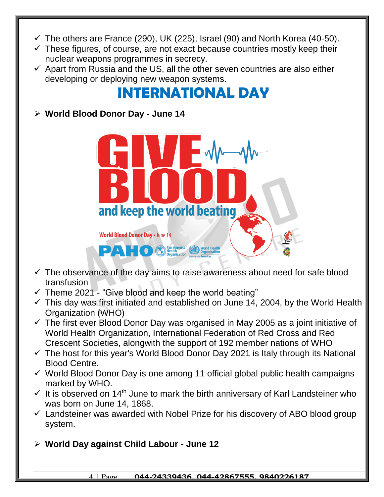- $\checkmark$  The others are France (290), UK (225), Israel (90) and North Korea (40-50).
- $\checkmark$  These figures, of course, are not exact because countries mostly keep their nuclear weapons programmes in secrecy.
- $\checkmark$  Apart from Russia and the US, all the other seven countries are also either developing or deploying new weapon systems.

## **INTERNATIONAL DAY**

**World Blood Donor Day - June 14** 



- $\checkmark$  The observance of the day aims to raise awareness about need for safe blood transfusion
- $\checkmark$  Theme 2021 "Give blood and keep the world beating"
- $\checkmark$  This day was first initiated and established on June 14, 2004, by the World Health Organization (WHO)
- $\checkmark$  The first ever Blood Donor Day was organised in May 2005 as a joint initiative of World Health Organization, International Federation of Red Cross and Red Crescent Societies, alongwith the support of 192 member nations of WHO
- $\checkmark$  The host for this year's World Blood Donor Day 2021 is Italy through its National Blood Centre.
- $\checkmark$  World Blood Donor Day is one among 11 official global public health campaigns marked by WHO.
- $\checkmark$  It is observed on 14<sup>th</sup> June to mark the birth anniversary of Karl Landsteiner who was born on June 14, 1868.
- $\checkmark$  Landsteiner was awarded with Nobel Prize for his discovery of ABO blood group system.
- **World Day against Child Labour - June 12**